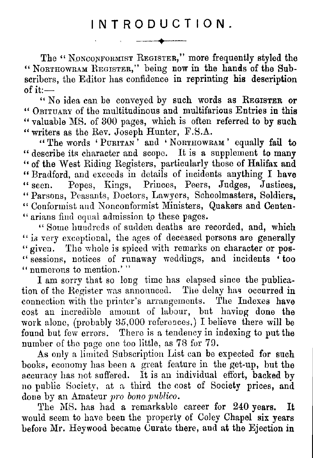INTRODUCTION .

The "NONCONFORMIST REGISTER," more frequently styled the " NORTHOWRAM REGISTER," being now in the hands of the Subscribers, the Editor has confidence in reprinting his description of it  $-$ 

" No idea can he conveyed **by** such words as REGISTER or " OBITUARY of the multitudinous and multifarious Entries in this " valuable MS. of 300 pages, which is often referred to by such " writers as the Rev. Joseph Hunter, F.S.A.

" The words ` PURITAN ' and ' NORTHOwRAM ' equally fail to " describe its character and scope. It is a supplement to many " of the West Riding Registers, particularly those of Halifax and " Bradford, and exceeds in details of incidents anything I **have** Popes, Kings, Princes, Peers, Judges, Justices. " Parsons, Peasants, Doctors, Lawyers, Schoolmasters, Soldiers. " Conformist and Nonconformist Ministers, Quakers and Centen-" arians find equal admission to these pages. . narians find equal admission to these pages

" Some hundreds of sudden deaths are recorded, and, which " is very exceptional, the ages of deceased persons are generally " given. The whole is spiced with remarks on character or pos-" sessions, notices of runaway weddings, and incidents 'too " numerous to mention.'"

I am sorry that so long time has elapsed since the publication of the Register was announced. The delay has occurred in connection with the printer's arrangements. The Indexes have cost an incredible amount of labour, but having done the work alone, (probably  $35,000$  references,) I believe there will be found but few errors. There is a tendency in indexing to put the number of the page one too little, as 78 for 79 .

As only a limited Subscription List can be expected for such books, economy has been a great feature in the get-up, but the accuracy has not suffered. It is an individual effort, backed by no public Society, at a third the cost of Society prices, and done by an Amateur *pro bono publico .*

The MS. has had a remarkable career for 240 years. It would seem to have been the property of Coley Chapel six years before Mr. Heywood became Curate there, and at the Ejection in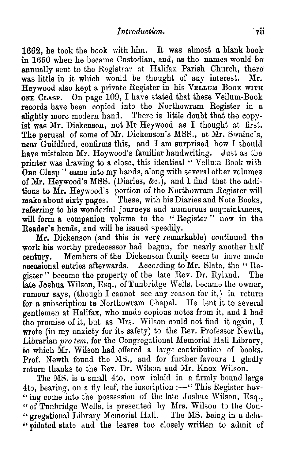1662, he took the book with him. It was almost a blank book in  $1650$  when he became Custodian, and, as the names would be annually sent to the Registrar at Halifax Parish Church, there was little in it which would be thought of any interest. Mr. Heywood also kept a private Register in his VELLUM BOOK WITH ONE CLASP. On page 109, I have stated that these Vellum-Book records have been copied into the Northowram Register in a slightly more modern hand. There is little doubt that the copyist was Mr. Dickenson, not Mr Heywood as I thought at first. The perusal of some of Mr. Dickenson's MSS., at Mr. Swaine's, near Guildford, confirms this, and I am surprised how I should have mistaken Mr. Heywood's familiar handwriting. Just as the printer was drawing to a close, this identical "Vellum Book with One Clasp " came into my hands, along with several other volumes of Mr. Heywood's MSS. (Diaries, &c .), and I find that the additions to Mr. Heywood's portion of the Northowram Register will make about sixty pages. These, with his Diaries and Note Books, referring to his wonderful journeys and numerous acquaintances, will form a companion volume to the "Register" now in the Reader's hands, and will be issued speedily.

Mr. Dickenson (and this is very remarkable) continued the work his worthy predecessor had begun, for nearly another half century. Members of the Dickenson family seem to have made occasional entries afterwards. According to Mr. Slate, the "Re-<br>gister" became the property of the late Rev. Dr. Ryland. The gister" became the property of the late Rev. Dr. Ryland. late Joshua Wilson, Esq., of Tunbridge Wells, became the owner, rumour says, (though I cannot see any reason for it,) in return for a subscription to Northowram Chapel. He lent it to several gentlemen at Halifax, who made copious notes from it, and I had the promise of it, but as Mrs. Wilson could not find it again, I wrote (in my anxiety for its safety) to the Rev. Professor Newth, Librarian pro tem. for the Congregational Memorial Hall Library, to which Mr. Wilson had offered a large contribution of books. Prof. Newth found the MS., and for further favours I gladly return thanks to the Rev. Dr. Wilson and Mr. Knox Wilson.

The MS. is a small 4to, now inlaid in a firmly bound large 4to, bearing, on a fly leaf, the inscription :- "This Register hav-"ing come into the possession of the late Joshua Wilson, Esq., " of Tunbridge Wells, is presented by Mrs. Wilson to the Con-" gregational Library Memorial Hall. The MS. being in a dela-"pidated state and the leaves too closely written to admit of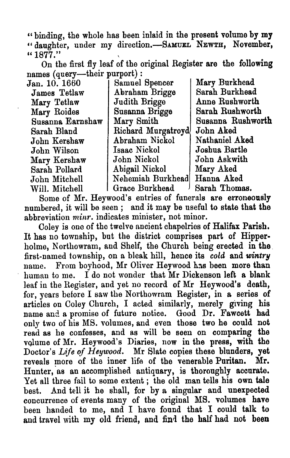" binding, the whole has been inlaid in **the present** volume **by my "** daughter, under my direction.—SAMUEL NEWTH, November,  $"1877."$ 

On the first fly leaf of the original Register **are** the **following** names (query—their purport) :

| Jan. 10. 1660    | Samuel Spencer     | Mary Burkhead     |
|------------------|--------------------|-------------------|
| James Tetlaw     | Abraham Brigge     | Sarah Burkhead    |
| Mary Tetlaw      | Judith Brigge      | Anne Rushworth    |
| Mary Roides      | Susanna Brigge     | Sarah Rushworth   |
| Susanna Earnshaw | Mary Smith         | Susanna Rushworth |
| Sarah Bland      | Richard Murgatroyd | John Aked         |
| John Kershaw     | Abraham Nickol     | Nathaniel Aked    |
| John Wilson      | Isaac Nickol       | Joshua Bartle     |
| Mary Kershaw     | John Nickol        | John Askwith      |
| Sarah Pollard    | Abigail Nickol     | Mary Aked         |
| John Mitchell    | Nehemiah Burkhead  | Hanna Aked        |
| Will. Mitchell   | Grace Burkhead     | Sarah Thomas.     |
|                  |                    |                   |

Some of Mr. Heywood's entries of funerals are **erroneously** numbered, it will be seen ; and it may be useful to state that the abbreviation *minr*. indicates minister, not minor.

Coley is one of the twelve ancient chapelries of Halifax Parish . It has no township, but the district comprises part of Hipperholme, Northowram, and Shelf, the Church being erected in the first-named township, on a bleak hill, hence its *cold* and *wintry* name. From boyhood, Mr Oliver Heywood has been more than human to me. I do not wonder that  $Mr$  Dickenson left a blank leaf in the Register, and yet no record of Mr Heywood's death, for, years before I saw the Northowram Register, in a series of articles on Coley Church, I acted similarly, merely giving his name and a promise of future notice. Good Dr. Fawcett had only two of his MS, volumes, and even those two he could not read as he confesses, and as will be seen on comparing the volume of Mr. Heywood's Diaries, now in the press, with the Doctor's *Life of Heywood.* Mr Slate copies these blunders, yet reveals more of the inner life of the venerable Puritan. Mr. reveals more of the inner life of the venerable Puritan. Hunter, as an accomplished antiquary, is **thoroughly** accurate. Yet all three fail to some extent ; the old man tells his own tale best. And tell it he shall, for by a singular and **unexpected** concurrence of events many of the original MS . volumes **have** been handed to me, and I have found that I could talk to and travel with **my** old friend, and **find the** half **had** not **been**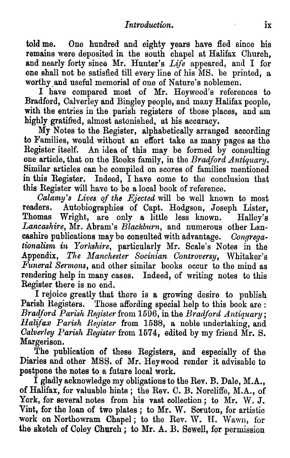told me. One hundred and eighty years have fled since his remains were deposited in the south chapel at Halifax Church, and nearly forty since Mr. Hunter's *Life appeared, and I for one shall not be satisfied till every line of his MS . be printed, a* worthy and useful memorial of one of Nature's noblemen.

I have compared most of Mr. Heywood's references to Bradford, Calverley and Bingley people, and many Halifax people, with the entries in the parish registers of those places, and am highly gratified, almost astonished, at his accuracy.

My Notes to the Register, alphabetically arranged according to Families, would without an effort take as many pages as the Register itself. An idea of this may be formed by consulting one article, that on the Rooks family, in the *Bradford Antiquary .* Similar articles can be compiled on scores of families mentioned *in this Register. Indeed, I have come to the conclusion that this Register will have to be a local book of reference .*

*Calamy's Lives of the Ejected will be well known to most* Autobiographies of Capt. Hodgson, Joseph Lister, Wright, are only a little less known. Halley's Thomas Wright, are only a little less known. *Lancashire, Mr. Abram's Blackburn, and numerous other Lancashire publications may be consulted with advantage . Congregationalism in Yorkshire*, particularly Mr. Scale's Notes in the *Appendix, The Manchester Socinian Controversy, Whitaker's Funeral Sermons,* and other similar books occur to the mind as *rendering help in many cases. Indeed, of writing notes to this Register there is no end .*

I rejoice greatly that there is a growing desire to publish Parish Registers. Those affording special help to this book are: *Bradford Parish Register from 1596, in the Bradford Antiquary ; Halifax Parish Register* from 1538, a noble undertaking, and *Calverley Parish Register from 1574, edited by my friend Mr . S. Margerison.*

The publication of these Registers, and especially of the Diaries and other MSS. of Mr. Heywood render it advisable to postpone the notes to a future local work.

I gladly acknowledge my obligations to the Rev . B. Dale, M.A. , of Halifax, for valuable hints; the Rev. C. B. Norcliffe, M.A., of York, for several notes from his vast collection ; to Mr. W. J. Vint, for the loan of two plates; to Mr. W. Scruton, for artistic work on Northowram Chapel ; to the Rev. W. H. Wawn, for the sketch of Coley Church ; to Mr. A. B. Sewell, for permission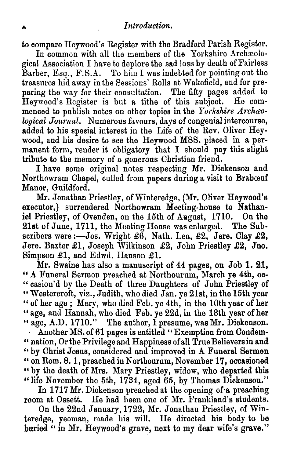to compare Heywood's Register with the Bradford Parish Register .

In common with all the members of the Yorkshire Archaeological Association I have to deplore the sad loss by death of Fairless Barber, Esq., F.S.A. To him I was indebted for pointing out the treasures hid away in the Sessions' Rolls at Wakefield, and for pre paring the way for their consultation. The fifty pages added to Heywood's Register is but a tithe of this subject. He commenced to publish notes on other topics in the Yorkshire Archaeo*logical Journal.* Numerous favours, days of congenial intercourse, *added to his special interest in the Life of the Rev. Oliver Heywood, and his desire to see the Heywood MSS. placed in a per*manent form, render it obligatory that I should pay this slight *tribute to the memory of a generous Christian friend .*

I have some original notes respecting Mr. Dickenson and Northowram Chapel, culled from papers during a visit to Brabœuf Manor, Guildford.

Mr. Jonathan Priestley, of Winteredge, (Mr. Oliver Heywood's executor,) surrendered Northowram Meeting-house to Nathaniel Priestley, of Ovenden, on the 15th of August, 1710. On the 21st of June, 1711, the Meeting House was enlarged. The Subscribers were :—Jos. Wright £6, Nath. Lea, £2, Jere. Clay £2, Jere. Baxter £1, Joseph Wilkinson £2, John Priestley £2, Jno. Simpson £1, and Edwd. Hanson  $£1$ .

Mr. Swaine has also a manuscript of 44 pages, on Job 1. 21, " A Funeral Sermon preached at Northourum, March ye 4th, o " casion'd by the Death of three Daughters of John Priestley of " Westercroft, viz., Judith, who died Jan. ye 21st, in the 15th year " of her age ; Mary, who died Feb . ye 4th, in the 10th year of her " age, and Hannah, who died Feb. ye 22d, in the 18th year of her " age, A.D. 1710." The author, I presume, was Mr. Dickenson.<br>Another MS. of 61 nages is entitled "Exemption from Condem-Another MS. of 61 pages is entitled "Exemption from Condemnation, Or the Privilege and Happiness of all True Believers in and " by Christ Jesus, considered and improved in A Funeral Sermon " on Rom. 8. 1, preached in Northourum, November 17, occasioned " by the death of Mrs. Mary Priestley, widow, who departed this " life November the 5th, 1734, aged 65, by Thomas Dickenson."

In 1717 Mr. Dickenson preached at the opening of a preaching room at Ossett. He had been one of Mr. Frankland's students.

On the 22nd January, 1722, Mr. Jonathan Priestley, of Wi teredge, yeoman, made his will. He directed his body to be buried  $\cdot$  in Mr. Heywood's grave, next to my dear wife's grave."